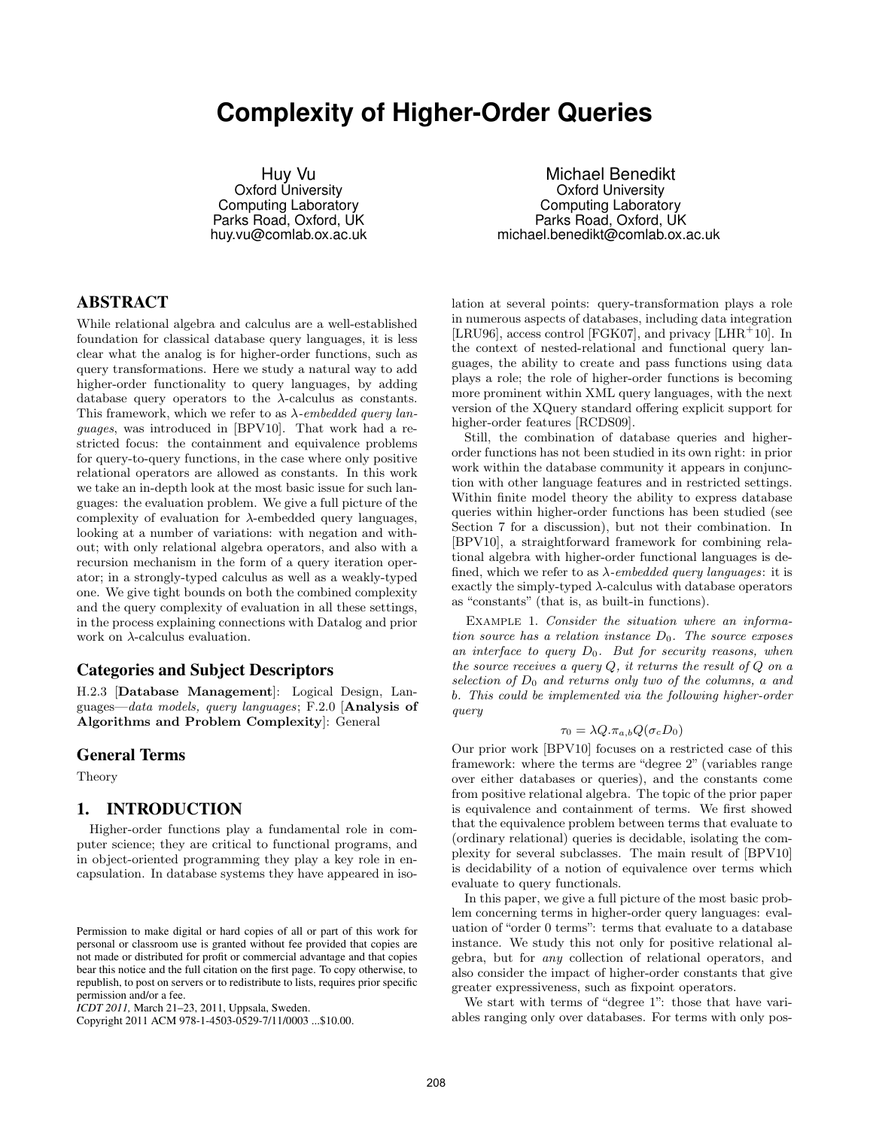# **Complexity of Higher-Order Queries**

Huy Vu Oxford University Computing Laboratory Parks Road, Oxford, UK huy.vu@comlab.ox.ac.uk

Michael Benedikt Oxford University Computing Laboratory Parks Road, Oxford, UK michael.benedikt@comlab.ox.ac.uk

# ABSTRACT

While relational algebra and calculus are a well-established foundation for classical database query languages, it is less clear what the analog is for higher-order functions, such as query transformations. Here we study a natural way to add higher-order functionality to query languages, by adding database query operators to the  $\lambda$ -calculus as constants. This framework, which we refer to as  $\lambda$ -embedded query languages, was introduced in [BPV10]. That work had a restricted focus: the containment and equivalence problems for query-to-query functions, in the case where only positive relational operators are allowed as constants. In this work we take an in-depth look at the most basic issue for such languages: the evaluation problem. We give a full picture of the complexity of evaluation for  $\lambda$ -embedded query languages, looking at a number of variations: with negation and without; with only relational algebra operators, and also with a recursion mechanism in the form of a query iteration operator; in a strongly-typed calculus as well as a weakly-typed one. We give tight bounds on both the combined complexity and the query complexity of evaluation in all these settings, in the process explaining connections with Datalog and prior work on  $\lambda$ -calculus evaluation.

# Categories and Subject Descriptors

H.2.3 [Database Management]: Logical Design, Languages—data models, query languages; F.2.0 [Analysis of Algorithms and Problem Complexity]: General

#### General Terms

Theory

### 1. INTRODUCTION

Higher-order functions play a fundamental role in computer science; they are critical to functional programs, and in object-oriented programming they play a key role in encapsulation. In database systems they have appeared in iso-

Copyright 2011 ACM 978-1-4503-0529-7/11/0003 ...\$10.00.

lation at several points: query-transformation plays a role in numerous aspects of databases, including data integration [LRU96], access control [FGK07], and privacy [LHR<sup>+</sup>10]. In the context of nested-relational and functional query languages, the ability to create and pass functions using data plays a role; the role of higher-order functions is becoming more prominent within XML query languages, with the next version of the XQuery standard offering explicit support for higher-order features [RCDS09].

Still, the combination of database queries and higherorder functions has not been studied in its own right: in prior work within the database community it appears in conjunction with other language features and in restricted settings. Within finite model theory the ability to express database queries within higher-order functions has been studied (see Section 7 for a discussion), but not their combination. In [BPV10], a straightforward framework for combining relational algebra with higher-order functional languages is defined, which we refer to as  $\lambda$ -embedded query languages: it is exactly the simply-typed  $\lambda$ -calculus with database operators as "constants" (that is, as built-in functions).

EXAMPLE 1. Consider the situation where an information source has a relation instance  $D_0$ . The source exposes an interface to query  $D_0$ . But for security reasons, when the source receives a query  $Q$ , it returns the result of  $Q$  on a selection of  $D_0$  and returns only two of the columns, a and b. This could be implemented via the following higher-order query

# $\tau_0 = \lambda Q.\pi_{a,b}Q(\sigma_cD_0)$

Our prior work [BPV10] focuses on a restricted case of this framework: where the terms are "degree 2" (variables range over either databases or queries), and the constants come from positive relational algebra. The topic of the prior paper is equivalence and containment of terms. We first showed that the equivalence problem between terms that evaluate to (ordinary relational) queries is decidable, isolating the complexity for several subclasses. The main result of [BPV10] is decidability of a notion of equivalence over terms which evaluate to query functionals.

In this paper, we give a full picture of the most basic problem concerning terms in higher-order query languages: evaluation of "order 0 terms": terms that evaluate to a database instance. We study this not only for positive relational algebra, but for any collection of relational operators, and also consider the impact of higher-order constants that give greater expressiveness, such as fixpoint operators.

We start with terms of "degree 1": those that have variables ranging only over databases. For terms with only pos-

Permission to make digital or hard copies of all or part of this work for personal or classroom use is granted without fee provided that copies are not made or distributed for profit or commercial advantage and that copies bear this notice and the full citation on the first page. To copy otherwise, to republish, to post on servers or to redistribute to lists, requires prior specific permission and/or a fee.

*ICDT 2011,* March 21–23, 2011, Uppsala, Sweden.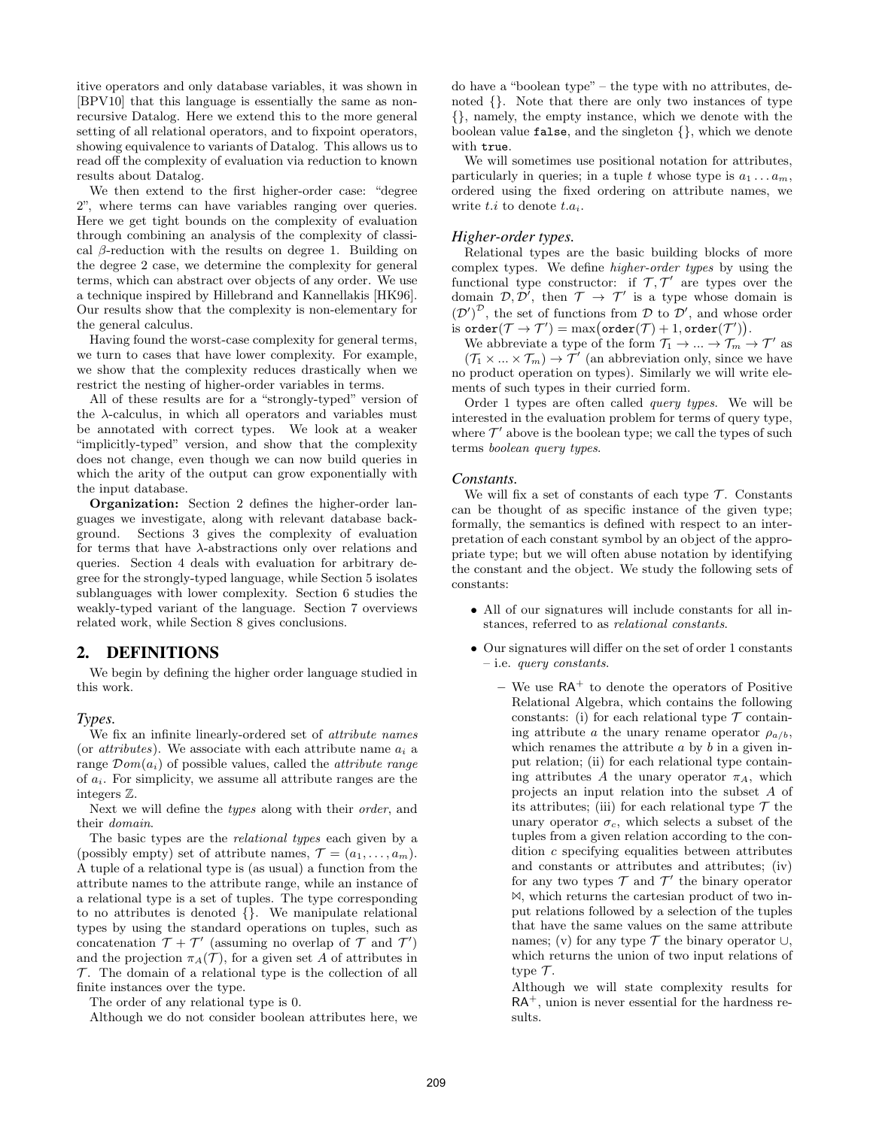itive operators and only database variables, it was shown in [BPV10] that this language is essentially the same as nonrecursive Datalog. Here we extend this to the more general setting of all relational operators, and to fixpoint operators, showing equivalence to variants of Datalog. This allows us to read off the complexity of evaluation via reduction to known results about Datalog.

We then extend to the first higher-order case: "degree 2", where terms can have variables ranging over queries. Here we get tight bounds on the complexity of evaluation through combining an analysis of the complexity of classical  $\beta$ -reduction with the results on degree 1. Building on the degree 2 case, we determine the complexity for general terms, which can abstract over objects of any order. We use a technique inspired by Hillebrand and Kannellakis [HK96]. Our results show that the complexity is non-elementary for the general calculus.

Having found the worst-case complexity for general terms, we turn to cases that have lower complexity. For example, we show that the complexity reduces drastically when we restrict the nesting of higher-order variables in terms.

All of these results are for a "strongly-typed" version of the  $\lambda$ -calculus, in which all operators and variables must be annotated with correct types. We look at a weaker "implicitly-typed" version, and show that the complexity does not change, even though we can now build queries in which the arity of the output can grow exponentially with the input database.

Organization: Section 2 defines the higher-order languages we investigate, along with relevant database background. Sections 3 gives the complexity of evaluation for terms that have  $\lambda$ -abstractions only over relations and queries. Section 4 deals with evaluation for arbitrary degree for the strongly-typed language, while Section 5 isolates sublanguages with lower complexity. Section 6 studies the weakly-typed variant of the language. Section 7 overviews related work, while Section 8 gives conclusions.

# 2. DEFINITIONS

We begin by defining the higher order language studied in this work.

#### *Types.*

We fix an infinite linearly-ordered set of attribute names (or *attributes*). We associate with each attribute name  $a_i$  a range  $\mathcal{D}om(a_i)$  of possible values, called the *attribute range* of  $a_i$ . For simplicity, we assume all attribute ranges are the integers Z.

Next we will define the types along with their order, and their domain.

The basic types are the relational types each given by a (possibly empty) set of attribute names,  $\mathcal{T} = (a_1, \ldots, a_m)$ . A tuple of a relational type is (as usual) a function from the attribute names to the attribute range, while an instance of a relational type is a set of tuples. The type corresponding to no attributes is denoted {}. We manipulate relational types by using the standard operations on tuples, such as concatenation  $\mathcal{T} + \mathcal{T}'$  (assuming no overlap of  $\mathcal{T}$  and  $\mathcal{T}'$ ) and the projection  $\pi_A(\mathcal{T})$ , for a given set A of attributes in  $\mathcal T$ . The domain of a relational type is the collection of all finite instances over the type.

The order of any relational type is 0.

Although we do not consider boolean attributes here, we

do have a "boolean type" – the type with no attributes, denoted {}. Note that there are only two instances of type {}, namely, the empty instance, which we denote with the boolean value false, and the singleton {}, which we denote with true.

We will sometimes use positional notation for attributes, particularly in queries; in a tuple t whose type is  $a_1 \ldots a_m$ , ordered using the fixed ordering on attribute names, we write  $t.i$  to denote  $t.a_i$ .

#### *Higher-order types.*

Relational types are the basic building blocks of more complex types. We define higher-order types by using the functional type constructor: if  $\mathcal{T}, \mathcal{T}'$  are types over the domain  $\mathcal{D}, \mathcal{D}'$ , then  $\mathcal{T} \to \mathcal{T}'$  is a type whose domain is  $(\mathcal{D}')^{\mathcal{D}}$ , the set of functions from  $\mathcal D$  to  $\mathcal D'$ , and whose order is  $\text{order}(\mathcal{T} \to \mathcal{T}') = \max(\text{order}(\mathcal{T}) + 1, \text{order}(\mathcal{T}')).$ 

We abbreviate a type of the form  $\mathcal{T}_1 \to \dots \to \mathcal{T}_m \to \mathcal{T}'$  as  $(\mathcal{T}_1 \times ... \times \mathcal{T}_m) \rightarrow \mathcal{T}'$  (an abbreviation only, since we have no product operation on types). Similarly we will write elements of such types in their curried form.

Order 1 types are often called query types. We will be interested in the evaluation problem for terms of query type, where  $\mathcal{T}'$  above is the boolean type; we call the types of such terms boolean query types.

#### *Constants.*

We will fix a set of constants of each type  $\mathcal T$ . Constants can be thought of as specific instance of the given type; formally, the semantics is defined with respect to an interpretation of each constant symbol by an object of the appropriate type; but we will often abuse notation by identifying the constant and the object. We study the following sets of constants:

- All of our signatures will include constants for all instances, referred to as relational constants.
- Our signatures will differ on the set of order 1 constants – i.e. query constants.
	- We use  $RA^+$  to denote the operators of Positive Relational Algebra, which contains the following constants: (i) for each relational type  $\mathcal T$  containing attribute a the unary rename operator  $\rho_{a/b}$ , which renames the attribute  $a$  by  $b$  in a given input relation; (ii) for each relational type containing attributes A the unary operator  $\pi_A$ , which projects an input relation into the subset A of its attributes; (iii) for each relational type  $\mathcal T$  the unary operator  $\sigma_c$ , which selects a subset of the tuples from a given relation according to the condition c specifying equalities between attributes and constants or attributes and attributes; (iv) for any two types  $\mathcal T$  and  $\mathcal T'$  the binary operator ✶, which returns the cartesian product of two input relations followed by a selection of the tuples that have the same values on the same attribute names; (v) for any type  $\mathcal T$  the binary operator  $\cup$ , which returns the union of two input relations of type  $\mathcal{T}$ .

Although we will state complexity results for  $RA^+$ , union is never essential for the hardness results.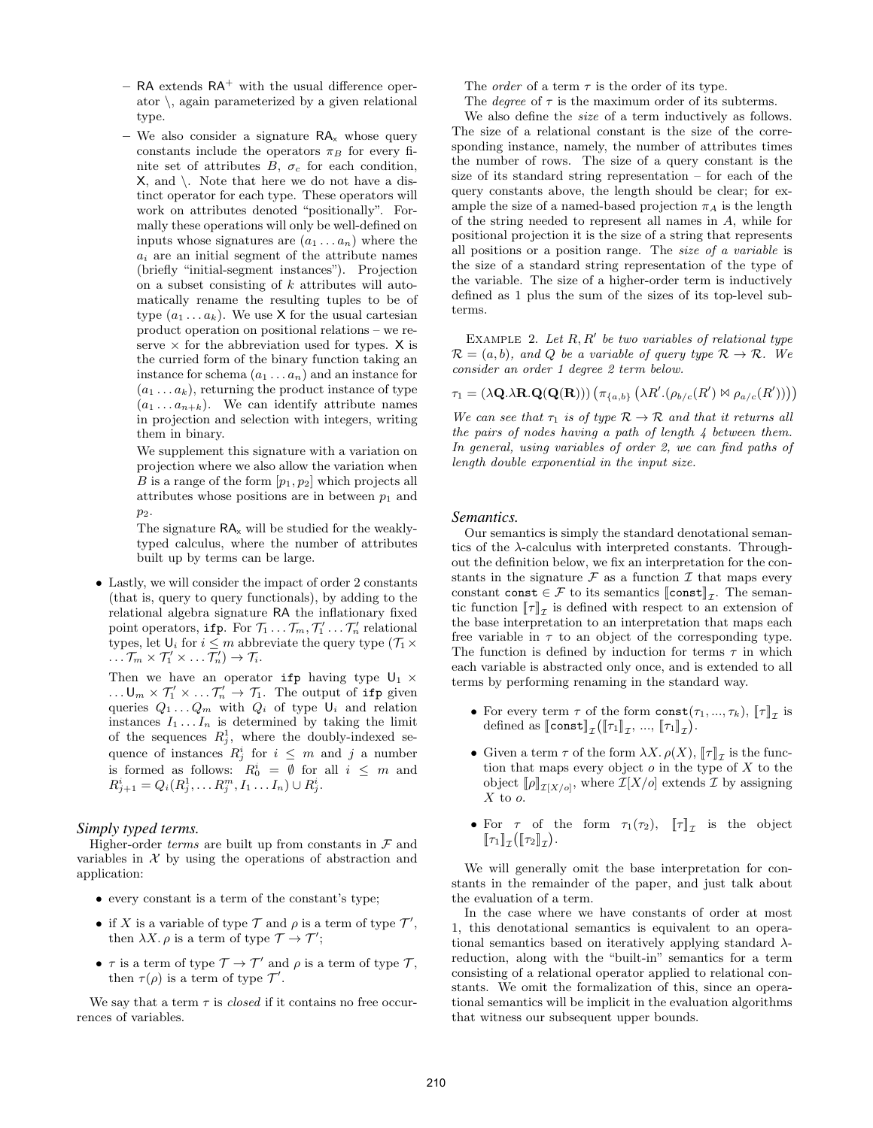- $-$  RA extends RA<sup>+</sup> with the usual difference operator  $\langle$ , again parameterized by a given relational type.
- We also consider a signature  $RA_x$  whose query constants include the operators  $\pi_B$  for every finite set of attributes  $B, \sigma_c$  for each condition, X, and \. Note that here we do not have a distinct operator for each type. These operators will work on attributes denoted "positionally". Formally these operations will only be well-defined on inputs whose signatures are  $(a_1 \ldots a_n)$  where the  $a_i$  are an initial segment of the attribute names (briefly "initial-segment instances"). Projection on a subset consisting of  $k$  attributes will automatically rename the resulting tuples to be of type  $(a_1 \ldots a_k)$ . We use X for the usual cartesian product operation on positional relations – we reserve  $\times$  for the abbreviation used for types.  $\times$  is the curried form of the binary function taking an instance for schema  $(a_1 \ldots a_n)$  and an instance for  $(a_1 \ldots a_k)$ , returning the product instance of type  $(a_1 \ldots a_{n+k})$ . We can identify attribute names in projection and selection with integers, writing them in binary.

We supplement this signature with a variation on projection where we also allow the variation when B is a range of the form  $[p_1, p_2]$  which projects all attributes whose positions are in between  $p_1$  and p2.

The signature  $\mathsf{RA}_x$  will be studied for the weaklytyped calculus, where the number of attributes built up by terms can be large.

• Lastly, we will consider the impact of order 2 constants (that is, query to query functionals), by adding to the relational algebra signature RA the inflationary fixed point operators, if p. For  $\mathcal{T}_1 \ldots \mathcal{T}_m, \mathcal{T}'_1 \ldots \mathcal{T}'_n$  relational types, let  $\mathsf{U}_i$  for  $i \leq m$  abbreviate the query type  $(\mathcal{T}_1 \times$  $\ldots \mathcal{T}_m \times \mathcal{T}'_1 \times \ldots \mathcal{T}'_n \to \mathcal{T}_i.$ 

Then we have an operator  $\mathtt{ifp}$  having type  $\mathsf{U}_1$   $\times$ ...  $\mathsf{U}_m \times \mathcal{T}'_1 \times \ldots \mathcal{T}'_n \to \mathcal{T}_1$ . The output of ifp given queries  $Q_1 \ldots Q_m$  with  $Q_i$  of type  $\mathsf{U}_i$  and relation instances  $I_1 \ldots I_n$  is determined by taking the limit of the sequences  $R_j^1$ , where the doubly-indexed sequence of instances  $R_j^i$  for  $i \leq m$  and j a number is formed as follows:  $R_0^i = \emptyset$  for all  $i \leq m$  and  $R_{j+1}^i = Q_i(R_j^1, \ldots R_j^m, I_1 \ldots I_n) \cup R_j^i.$ 

#### *Simply typed terms.*

Higher-order  $terms$  are built up from constants in  ${\mathcal F}$  and variables in  $X$  by using the operations of abstraction and application:

- every constant is a term of the constant's type;
- if X is a variable of type  $\mathcal T$  and  $\rho$  is a term of type  $\mathcal T'$ , then  $\lambda X.\rho$  is a term of type  $\mathcal{T} \to \mathcal{T}'$ ;
- $\tau$  is a term of type  $\mathcal{T} \to \mathcal{T}'$  and  $\rho$  is a term of type  $\mathcal{T}$ , then  $\tau(\rho)$  is a term of type  $\mathcal{T}'$ .

We say that a term  $\tau$  is *closed* if it contains no free occurrences of variables.

The *order* of a term  $\tau$  is the order of its type.

The *degree* of  $\tau$  is the maximum order of its subterms.

We also define the size of a term inductively as follows. The size of a relational constant is the size of the corresponding instance, namely, the number of attributes times the number of rows. The size of a query constant is the size of its standard string representation – for each of the query constants above, the length should be clear; for example the size of a named-based projection  $\pi_A$  is the length of the string needed to represent all names in A, while for positional projection it is the size of a string that represents all positions or a position range. The size of a variable is the size of a standard string representation of the type of the variable. The size of a higher-order term is inductively defined as 1 plus the sum of the sizes of its top-level subterms.

EXAMPLE 2. Let  $R, R'$  be two variables of relational type  $\mathcal{R} = (a, b)$ , and Q be a variable of query type  $\mathcal{R} \to \mathcal{R}$ . We consider an order 1 degree 2 term below.

 $\tau_1 = (\lambda \mathbf{Q} \cdot \lambda \mathbf{R} \cdot \mathbf{Q}(\mathbf{Q}(\mathbf{R}))) (\pi_{\{a,b\}} (\lambda R'.(\rho_{b/c}(R') \bowtie \rho_{a/c}(R')))$ 

We can see that  $\tau_1$  is of type  $\mathcal{R} \to \mathcal{R}$  and that it returns all the pairs of nodes having a path of length  $\lambda$  between them. In general, using variables of order 2, we can find paths of length double exponential in the input size.

#### *Semantics.*

Our semantics is simply the standard denotational semantics of the  $\lambda$ -calculus with interpreted constants. Throughout the definition below, we fix an interpretation for the constants in the signature  $\mathcal F$  as a function  $\mathcal I$  that maps every constant const  $\in \mathcal{F}$  to its semantics  $\llbracket \text{const} \rrbracket_{\mathcal{I}}$ . The seman-<br>tic function  $\llbracket \tau \rrbracket$  is defined with respect to an extension of tic function  $[\![\tau]\!]_T$  is defined with respect to an extension of<br>the base interpretation to an interpretation that maps oach the base interpretation to an interpretation that maps each free variable in  $\tau$  to an object of the corresponding type. The function is defined by induction for terms  $\tau$  in which each variable is abstracted only once, and is extended to all terms by performing renaming in the standard way.

- For every term  $\tau$  of the form  $\text{const}(\tau_1, ..., \tau_k)$ ,  $[\![\tau]\!]_T$  is defined as  $\text{Isomst}[\![\tau]\!]$ ,  $[\![\tau_n]\!]$ defined as  $\llbracket \text{const} \rrbracket_{\mathcal{I}} (\llbracket \tau_1 \rrbracket_{\mathcal{I}}, ..., \llbracket \tau_1 \rrbracket_{\mathcal{I}}).$
- Given a term  $\tau$  of the form  $\lambda X$ .  $\rho(X)$ ,  $\llbracket \tau \rrbracket_{\mathcal{I}}$  is the function that maps every object  $\rho$  in the type of X to the tion that maps every object  $o$  in the type of  $X$  to the object  $[\![\rho]\!]_{\mathcal{I}[X/o]},$  where  $\mathcal{I}[X/o]$  extends  $\mathcal I$  by assigning  $X$  to a  $X$  to  $o$ .
- For  $\tau$  of the form  $\tau_1(\tau_2)$ ,  $\llbracket \tau \rrbracket_{\mathcal{I}}$  is the object  $\llbracket \tau_x \rrbracket$  ( $\llbracket \tau_x \rrbracket$ )  $\llbracket \tau_1 \rrbracket_{\mathcal{I}} (\llbracket \tau_2 \rrbracket_{\mathcal{I}}).$

We will generally omit the base interpretation for constants in the remainder of the paper, and just talk about the evaluation of a term.

In the case where we have constants of order at most 1, this denotational semantics is equivalent to an operational semantics based on iteratively applying standard  $\lambda$ reduction, along with the "built-in" semantics for a term consisting of a relational operator applied to relational constants. We omit the formalization of this, since an operational semantics will be implicit in the evaluation algorithms that witness our subsequent upper bounds.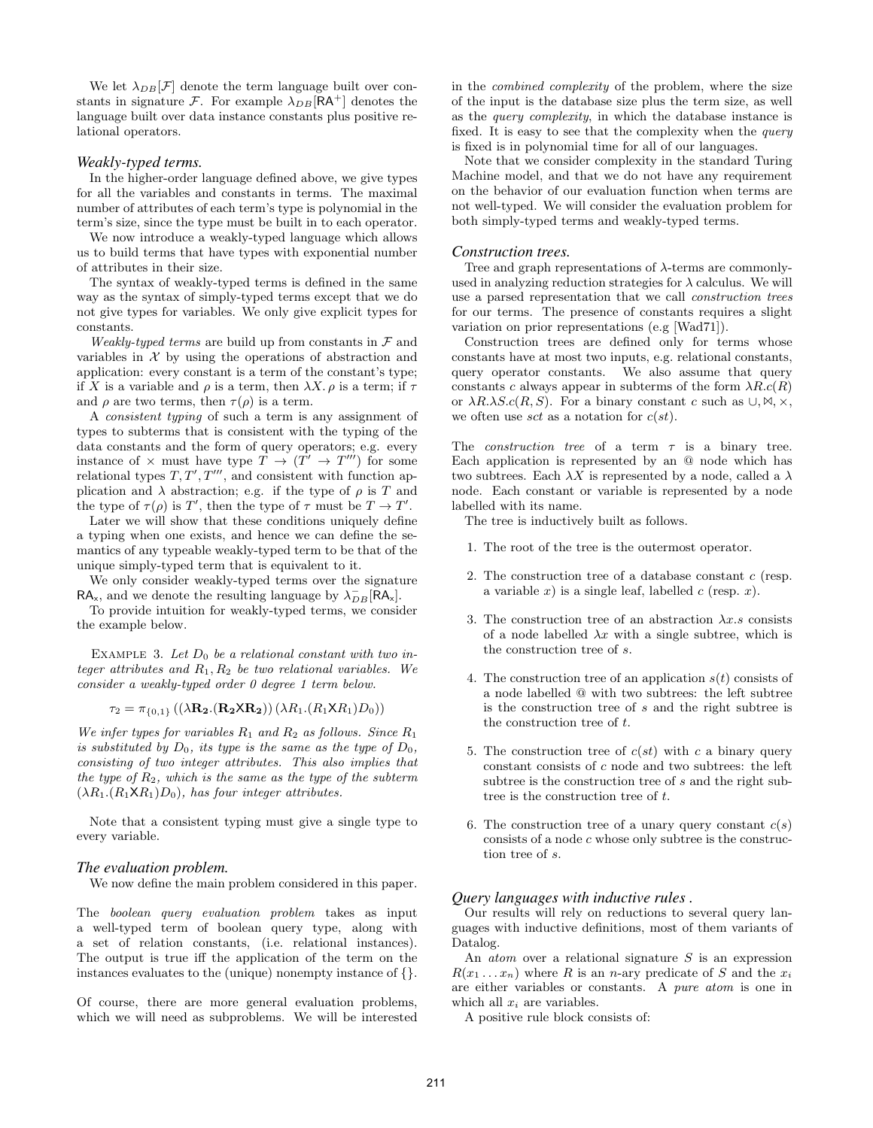We let  $\lambda_{DB}[\mathcal{F}]$  denote the term language built over constants in signature F. For example  $\lambda_{DB}$ [RA<sup>+</sup>] denotes the language built over data instance constants plus positive relational operators.

#### *Weakly-typed terms.*

In the higher-order language defined above, we give types for all the variables and constants in terms. The maximal number of attributes of each term's type is polynomial in the term's size, since the type must be built in to each operator.

We now introduce a weakly-typed language which allows us to build terms that have types with exponential number of attributes in their size.

The syntax of weakly-typed terms is defined in the same way as the syntax of simply-typed terms except that we do not give types for variables. We only give explicit types for constants.

Weakly-typed terms are build up from constants in  $\mathcal F$  and variables in  $X$  by using the operations of abstraction and application: every constant is a term of the constant's type; if X is a variable and  $\rho$  is a term, then  $\lambda X$ .  $\rho$  is a term; if  $\tau$ and  $\rho$  are two terms, then  $\tau(\rho)$  is a term.

A consistent typing of such a term is any assignment of types to subterms that is consistent with the typing of the data constants and the form of query operators; e.g. every instance of  $\times$  must have type  $T \to (T' \to T''')$  for some relational types  $T, T', T'''$ , and consistent with function application and  $\lambda$  abstraction; e.g. if the type of  $\rho$  is T and the type of  $\tau(\rho)$  is T', then the type of  $\tau$  must be  $T \to T'$ .

Later we will show that these conditions uniquely define a typing when one exists, and hence we can define the semantics of any typeable weakly-typed term to be that of the unique simply-typed term that is equivalent to it.

We only consider weakly-typed terms over the signature  $RA_{x}$ , and we denote the resulting language by  $\lambda_{DB}^- [\bar{RA}_{x}]$ .

To provide intuition for weakly-typed terms, we consider the example below.

EXAMPLE 3. Let  $D_0$  be a relational constant with two integer attributes and  $R_1, R_2$  be two relational variables. We consider a weakly-typed order 0 degree 1 term below.

 $\tau_2 = \pi_{\{0,1\}} ((\lambda \mathbf{R_2}.(\mathbf{R_2} \mathbf{X} \mathbf{R_2})) (\lambda R_1.(R_1 \mathbf{X} R_1) D_0))$ 

We infer types for variables  $R_1$  and  $R_2$  as follows. Since  $R_1$ is substituted by  $D_0$ , its type is the same as the type of  $D_0$ , consisting of two integer attributes. This also implies that the type of  $R_2$ , which is the same as the type of the subterm  $(\lambda R_1.(R_1 \lambda R_1)D_0)$ , has four integer attributes.

Note that a consistent typing must give a single type to every variable.

#### *The evaluation problem.*

We now define the main problem considered in this paper.

The boolean query evaluation problem takes as input a well-typed term of boolean query type, along with a set of relation constants, (i.e. relational instances). The output is true iff the application of the term on the instances evaluates to the (unique) nonempty instance of {}.

Of course, there are more general evaluation problems, which we will need as subproblems. We will be interested in the combined complexity of the problem, where the size of the input is the database size plus the term size, as well as the query complexity, in which the database instance is fixed. It is easy to see that the complexity when the *query* is fixed is in polynomial time for all of our languages.

Note that we consider complexity in the standard Turing Machine model, and that we do not have any requirement on the behavior of our evaluation function when terms are not well-typed. We will consider the evaluation problem for both simply-typed terms and weakly-typed terms.

#### *Construction trees.*

Tree and graph representations of  $\lambda$ -terms are commonlyused in analyzing reduction strategies for  $\lambda$  calculus. We will use a parsed representation that we call construction trees for our terms. The presence of constants requires a slight variation on prior representations (e.g [Wad71]).

Construction trees are defined only for terms whose constants have at most two inputs, e.g. relational constants, query operator constants. We also assume that query constants c always appear in subterms of the form  $\lambda R.c(R)$ or  $\lambda R.\lambda S.c(R, S)$ . For a binary constant c such as  $\cup, \forall, \times,$ we often use sct as a notation for  $c(st)$ .

The *construction tree* of a term  $\tau$  is a binary tree. Each application is represented by an @ node which has two subtrees. Each  $\lambda X$  is represented by a node, called a  $\lambda$ node. Each constant or variable is represented by a node labelled with its name.

The tree is inductively built as follows.

- 1. The root of the tree is the outermost operator.
- 2. The construction tree of a database constant  $c$  (resp. a variable x) is a single leaf, labelled  $c$  (resp. x).
- 3. The construction tree of an abstraction  $\lambda x.s$  consists of a node labelled  $\lambda x$  with a single subtree, which is the construction tree of s.
- 4. The construction tree of an application  $s(t)$  consists of a node labelled @ with two subtrees: the left subtree is the construction tree of s and the right subtree is the construction tree of t.
- 5. The construction tree of  $c(st)$  with c a binary query constant consists of c node and two subtrees: the left subtree is the construction tree of s and the right subtree is the construction tree of t.
- 6. The construction tree of a unary query constant  $c(s)$ consists of a node  $c$  whose only subtree is the construction tree of s.

#### *Query languages with inductive rules .*

Our results will rely on reductions to several query languages with inductive definitions, most of them variants of Datalog.

An *atom* over a relational signature  $S$  is an expression  $R(x_1 \ldots x_n)$  where R is an n-ary predicate of S and the  $x_i$ are either variables or constants. A pure atom is one in which all  $x_i$  are variables.

A positive rule block consists of: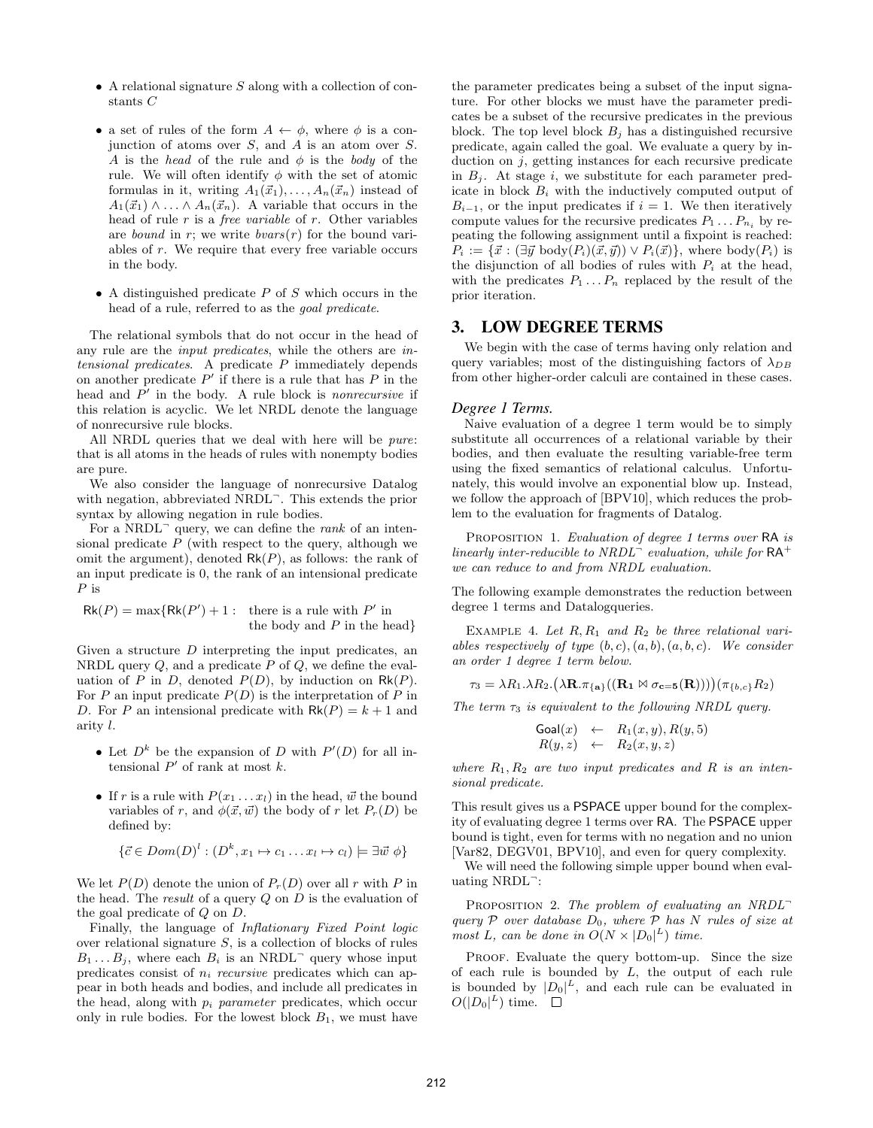- $\bullet$  A relational signature S along with a collection of constants C
- a set of rules of the form  $A \leftarrow \phi$ , where  $\phi$  is a conjunction of atoms over  $S$ , and  $A$  is an atom over  $S$ . A is the head of the rule and  $\phi$  is the body of the rule. We will often identify  $\phi$  with the set of atomic formulas in it, writing  $A_1(\vec{x}_1), \ldots, A_n(\vec{x}_n)$  instead of  $A_1(\vec{x}_1) \wedge \ldots \wedge A_n(\vec{x}_n)$ . A variable that occurs in the head of rule  $r$  is a *free variable* of  $r$ . Other variables are bound in r; we write  $bvars(r)$  for the bound variables of r. We require that every free variable occurs in the body.
- A distinguished predicate  $P$  of  $S$  which occurs in the head of a rule, referred to as the goal predicate.

The relational symbols that do not occur in the head of any rule are the input predicates, while the others are intensional predicates. A predicate P immediately depends on another predicate  $P'$  if there is a rule that has  $P$  in the head and  $P'$  in the body. A rule block is *nonrecursive* if this relation is acyclic. We let NRDL denote the language of nonrecursive rule blocks.

All NRDL queries that we deal with here will be pure: that is all atoms in the heads of rules with nonempty bodies are pure.

We also consider the language of nonrecursive Datalog with negation, abbreviated NRDL<sup>-</sup>. This extends the prior syntax by allowing negation in rule bodies.

For a NRDL<sup> $-$ </sup> query, we can define the *rank* of an intensional predicate  $P$  (with respect to the query, although we omit the argument), denoted  $Rk(P)$ , as follows: the rank of an input predicate is 0, the rank of an intensional predicate  $P$  is

$$
Rk(P) = \max\{Rk(P') + 1: \text{ there is a rule with } P' \text{ in } \text{the body and } P \text{ in the head}\}
$$

Given a structure  $D$  interpreting the input predicates, an NRDL query  $Q$ , and a predicate  $P$  of  $Q$ , we define the evaluation of P in D, denoted  $P(D)$ , by induction on  $Rk(P)$ . For P an input predicate  $P(D)$  is the interpretation of P in D. For P an intensional predicate with  $Rk(P) = k + 1$  and arity l.

- Let  $D^k$  be the expansion of D with  $P'(D)$  for all intensional  $P'$  of rank at most  $k$ .
- If r is a rule with  $P(x_1 \ldots x_l)$  in the head,  $\vec{w}$  the bound variables of r, and  $\phi(\vec{x}, \vec{w})$  the body of r let  $P_r(D)$  be defined by:

$$
\{\vec{c} \in Dom(D)^l : (D^k, x_1 \mapsto c_1 \dots x_l \mapsto c_l) \models \exists \vec{w} \phi\}
$$

We let  $P(D)$  denote the union of  $P<sub>r</sub>(D)$  over all r with P in the head. The result of a query  $Q$  on  $D$  is the evaluation of the goal predicate of Q on D.

Finally, the language of Inflationary Fixed Point logic over relational signature  $S$ , is a collection of blocks of rules  $B_1 \ldots B_j$ , where each  $B_i$  is an NRDL<sup>-</sup> query whose input predicates consist of  $n_i$  recursive predicates which can appear in both heads and bodies, and include all predicates in the head, along with  $p_i$  parameter predicates, which occur only in rule bodies. For the lowest block  $B_1$ , we must have the parameter predicates being a subset of the input signature. For other blocks we must have the parameter predicates be a subset of the recursive predicates in the previous block. The top level block  $B_i$  has a distinguished recursive predicate, again called the goal. We evaluate a query by induction on  $j$ , getting instances for each recursive predicate in  $B_i$ . At stage i, we substitute for each parameter predicate in block  $B_i$  with the inductively computed output of  $B_{i-1}$ , or the input predicates if  $i = 1$ . We then iteratively compute values for the recursive predicates  $P_1 \dots P_{n_i}$  by repeating the following assignment until a fixpoint is reached:  $P_i := \{\vec{x} : (\exists \vec{y} \text{ body}(P_i)(\vec{x}, \vec{y})) \vee P_i(\vec{x})\}, \text{ where } \text{body}(P_i) \text{ is }$ the disjunction of all bodies of rules with  $P_i$  at the head, with the predicates  $P_1 \ldots P_n$  replaced by the result of the prior iteration.

# 3. LOW DEGREE TERMS

We begin with the case of terms having only relation and query variables; most of the distinguishing factors of  $\lambda_{DB}$ from other higher-order calculi are contained in these cases.

#### *Degree 1 Terms.*

Naive evaluation of a degree 1 term would be to simply substitute all occurrences of a relational variable by their bodies, and then evaluate the resulting variable-free term using the fixed semantics of relational calculus. Unfortunately, this would involve an exponential blow up. Instead, we follow the approach of [BPV10], which reduces the problem to the evaluation for fragments of Datalog.

PROPOSITION 1. Evaluation of degree 1 terms over RA is linearly inter-reducible to NRDL<sup> $-$ </sup> evaluation, while for  $RA^+$ we can reduce to and from NRDL evaluation.

The following example demonstrates the reduction between degree 1 terms and Datalogqueries.

EXAMPLE 4. Let  $R, R_1$  and  $R_2$  be three relational variables respectively of type  $(b, c), (a, b), (a, b, c)$ . We consider an order 1 degree 1 term below.

 $\tau_3 = \lambda R_1 \cdot \lambda R_2 \cdot (\lambda \mathbf{R} \cdot \pi_{\{\mathbf{a}\}}((\mathbf{R_1} \boxtimes \sigma_{\mathbf{c}=\mathbf{5}}(\mathbf{R}))))(\pi_{\{b,c\}} R_2)$ 

The term  $\tau_3$  is equivalent to the following NRDL query.

$$
Goal(x) \leftarrow R_1(x, y), R(y, 5) R(y, z) \leftarrow R_2(x, y, z)
$$

where  $R_1, R_2$  are two input predicates and R is an intensional predicate.

This result gives us a PSPACE upper bound for the complexity of evaluating degree 1 terms over RA. The PSPACE upper bound is tight, even for terms with no negation and no union [Var82, DEGV01, BPV10], and even for query complexity.

We will need the following simple upper bound when evaluating NRDL<sup>-</sup>:

PROPOSITION 2. The problem of evaluating an  $NRDL^$ query P over database  $D_0$ , where P has N rules of size at most L, can be done in  $O(N \times |D_0|^L)$  time.

PROOF. Evaluate the query bottom-up. Since the size of each rule is bounded by  $L$ , the output of each rule is bounded by  $|D_0|^L$ , and each rule can be evaluated in  $O(|D_0|^L)$  time.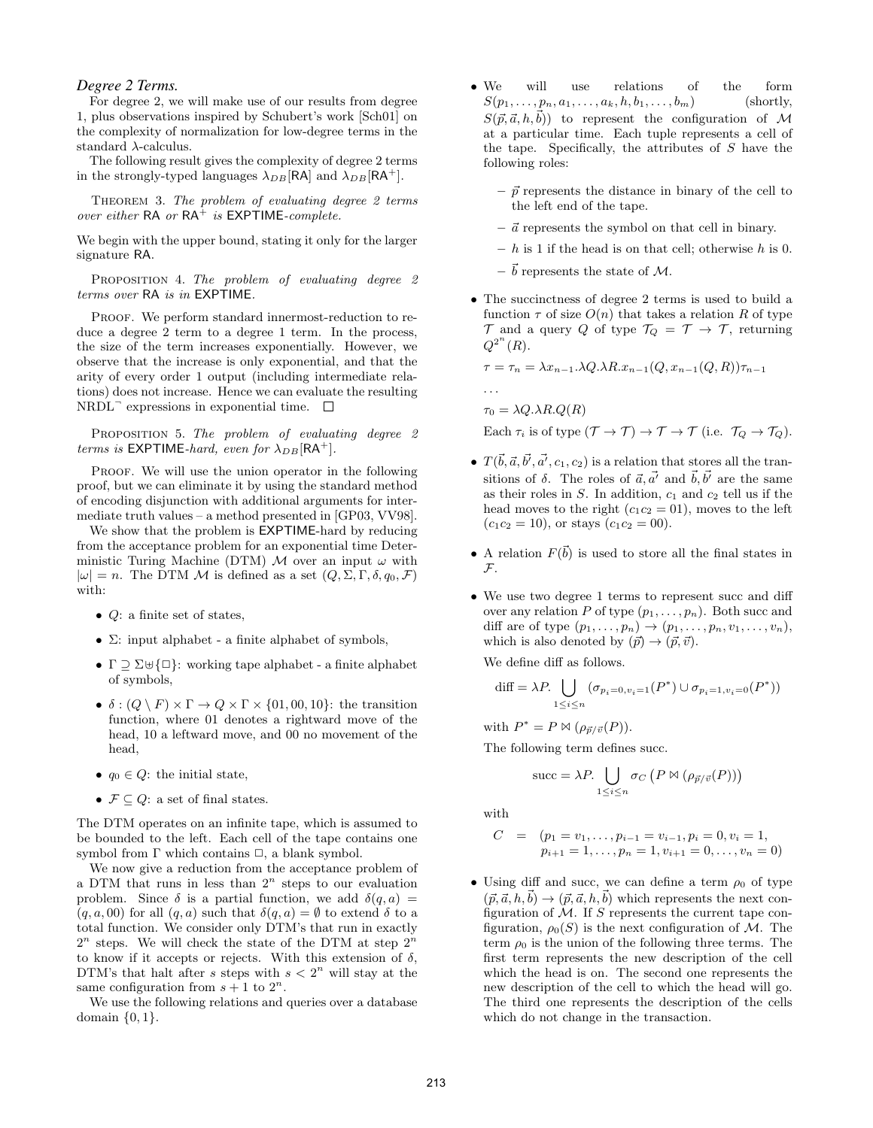### *Degree 2 Terms.*

For degree 2, we will make use of our results from degree 1, plus observations inspired by Schubert's work [Sch01] on the complexity of normalization for low-degree terms in the standard  $\lambda$ -calculus.

The following result gives the complexity of degree 2 terms in the strongly-typed languages  $\lambda_{DB}$ [RA] and  $\lambda_{DB}$ [RA<sup>+</sup>].

THEOREM 3. The problem of evaluating degree 2 terms over either  $RA$  or  $RA^+$  is  $EXPTIME-complete$ .

We begin with the upper bound, stating it only for the larger signature RA.

PROPOSITION 4. The problem of evaluating degree 2 terms over RA is in EXPTIME.

PROOF. We perform standard innermost-reduction to reduce a degree 2 term to a degree 1 term. In the process, the size of the term increases exponentially. However, we observe that the increase is only exponential, and that the arity of every order 1 output (including intermediate relations) does not increase. Hence we can evaluate the resulting NRDL<sup>¬</sup> expressions in exponential time.

PROPOSITION 5. The problem of evaluating degree 2 terms is EXPTIME-hard, even for  $\lambda_{DB}$ [RA<sup>+</sup>].

PROOF. We will use the union operator in the following proof, but we can eliminate it by using the standard method of encoding disjunction with additional arguments for intermediate truth values – a method presented in [GP03, VV98].

We show that the problem is EXPTIME-hard by reducing from the acceptance problem for an exponential time Deterministic Turing Machine (DTM) M over an input  $\omega$  with  $|\omega| = n$ . The DTM M is defined as a set  $(Q, \Sigma, \Gamma, \delta, q_0, \mathcal{F})$ with:

- $Q$ : a finite set of states,
- $\bullet$   $\Sigma$ : input alphabet a finite alphabet of symbols,
- $\Gamma \supseteq \Sigma \uplus {\Box}$ : working tape alphabet a finite alphabet of symbols,
- $\delta : (Q \setminus F) \times \Gamma \to Q \times \Gamma \times \{01, 00, 10\}$ : the transition function, where 01 denotes a rightward move of the head, 10 a leftward move, and 00 no movement of the head,
- $q_0 \in Q$ : the initial state,
- $\mathcal{F} \subseteq Q$ : a set of final states.

The DTM operates on an infinite tape, which is assumed to be bounded to the left. Each cell of the tape contains one symbol from  $\Gamma$  which contains  $\Box$ , a blank symbol.

We now give a reduction from the acceptance problem of a DTM that runs in less than  $2^n$  steps to our evaluation problem. Since  $\delta$  is a partial function, we add  $\delta(q, a)$  =  $(q, a, 00)$  for all  $(q, a)$  such that  $\delta(q, a) = \emptyset$  to extend  $\delta$  to a total function. We consider only DTM's that run in exactly  $2^n$  steps. We will check the state of the DTM at step  $2^n$ to know if it accepts or rejects. With this extension of  $\delta$ , DTM's that halt after s steps with  $s < 2<sup>n</sup>$  will stay at the same configuration from  $s + 1$  to  $2^n$ .

We use the following relations and queries over a database domain  $\{0, 1\}.$ 

- We will use relations of the form  $S(p_1, \ldots, p_n, a_1, \ldots, a_k, h, b_1, \ldots, b_m)$  (shortly,  $S(\vec{p}, \vec{a}, h, \vec{b})$  to represent the configuration of M at a particular time. Each tuple represents a cell of the tape. Specifically, the attributes of  $S$  have the following roles:
	- $-\vec{p}$  represents the distance in binary of the cell to the left end of the tape.
	- $\vec{a}$  represents the symbol on that cell in binary.
	- $h$  is 1 if the head is on that cell; otherwise h is 0.
	- $-\vec{b}$  represents the state of M.
- The succinctness of degree 2 terms is used to build a function  $\tau$  of size  $O(n)$  that takes a relation R of type  $\mathcal T$  and a query Q of type  $\mathcal T_Q = \mathcal T \to \mathcal T$ , returning  $Q^{2^n}(R)$ .

$$
\tau = \tau_n = \lambda x_{n-1} \cdot \lambda Q \cdot \lambda R \cdot x_{n-1}(Q, x_{n-1}(Q, R)) \tau_{n-1}
$$
  
...

 $\tau_0 = \lambda Q \cdot \lambda R \cdot Q(R)$ 

Each  $\tau_i$  is of type  $(\mathcal{T} \to \mathcal{T}) \to \mathcal{T} \to \mathcal{T}$  (i.e.  $\mathcal{T}_Q \to \mathcal{T}_Q$ ).

- $T(\vec{b}, \vec{a}, \vec{b'}, \vec{a'}, c_1, c_2)$  is a relation that stores all the transitions of  $\delta$ . The roles of  $\vec{a}, \vec{a'}$  and  $\vec{b}, \vec{b'}$  are the same as their roles in  $S$ . In addition,  $c_1$  and  $c_2$  tell us if the head moves to the right  $(c_1c_2 = 01)$ , moves to the left  $(c_1c_2 = 10)$ , or stays  $(c_1c_2 = 00)$ .
- A relation  $F(\vec{b})$  is used to store all the final states in  $\mathcal{F}$ .
- We use two degree 1 terms to represent succ and diff over any relation P of type  $(p_1, \ldots, p_n)$ . Both succ and diff are of type  $(p_1, \ldots, p_n) \rightarrow (p_1, \ldots, p_n, v_1, \ldots, v_n),$ which is also denoted by  $(\vec{p}) \rightarrow (\vec{p}, \vec{v})$ .

We define diff as follows.

$$
\text{diff} = \lambda P. \bigcup_{1 \leq i \leq n} (\sigma_{p_i=0, v_i=1}(P^*) \cup \sigma_{p_i=1, v_i=0}(P^*))
$$

with  $P^* = P \bowtie (\rho_{\vec{p}/\vec{v}}(P)).$ 

The following term defines succ.

$$
\text{succ} = \lambda P. \bigcup_{1 \leq i \leq n} \sigma_C \left( P \bowtie (\rho_{\vec{p}/\vec{v}}(P)) \right)
$$

with

$$
C = (p_1 = v_1, \dots, p_{i-1} = v_{i-1}, p_i = 0, v_i = 1, p_{i+1} = 1, \dots, p_n = 1, v_{i+1} = 0, \dots, v_n = 0)
$$

• Using diff and succ, we can define a term  $\rho_0$  of type  $(\vec{p}, \vec{a}, h, b) \rightarrow (\vec{p}, \vec{a}, h, b)$  which represents the next configuration of  $M$ . If S represents the current tape configuration,  $\rho_0(S)$  is the next configuration of M. The term  $\rho_0$  is the union of the following three terms. The first term represents the new description of the cell which the head is on. The second one represents the new description of the cell to which the head will go. The third one represents the description of the cells which do not change in the transaction.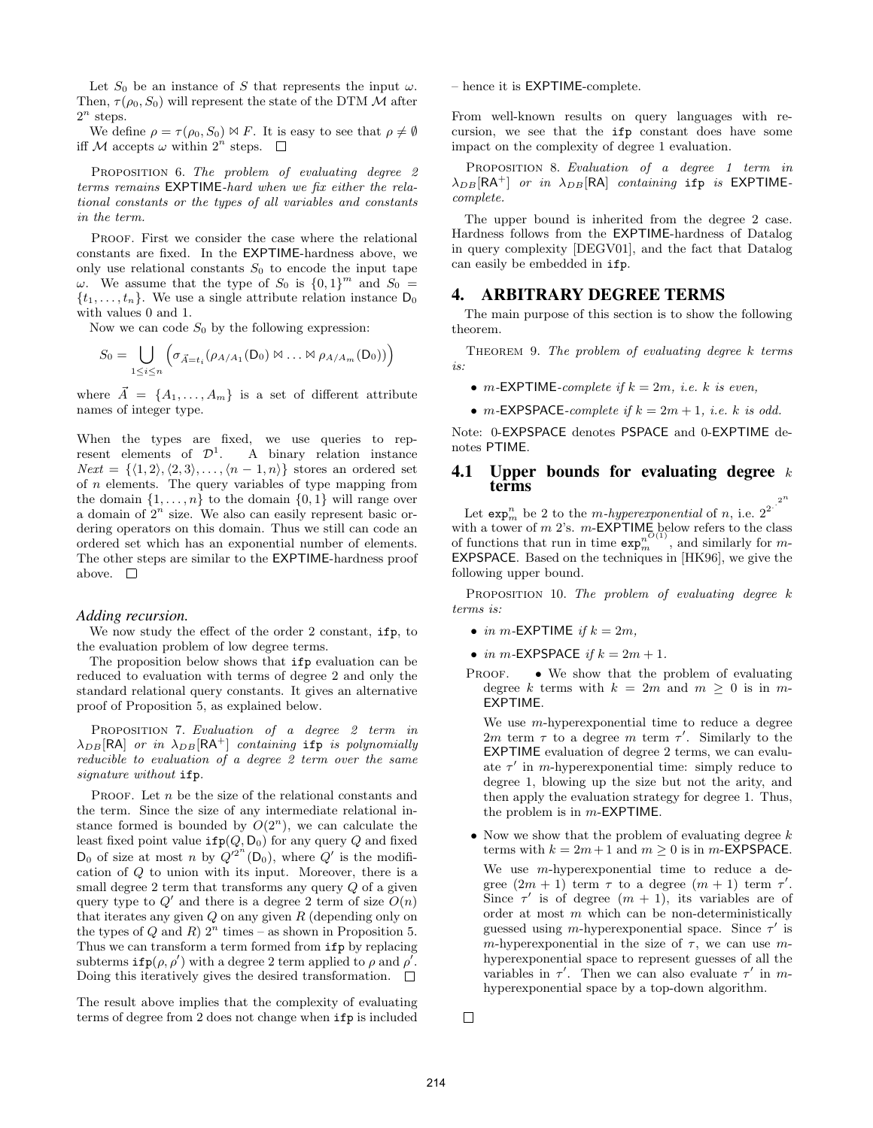Let  $S_0$  be an instance of S that represents the input  $\omega$ . Then,  $\tau(\rho_0, S_0)$  will represent the state of the DTM  $\mathcal M$  after  $2^n$  steps.

We define  $\rho = \tau(\rho_0, S_0) \bowtie F$ . It is easy to see that  $\rho \neq \emptyset$ iff M accepts  $\omega$  within  $2^n$  steps.

PROPOSITION 6. The problem of evaluating degree 2 terms remains EXPTIME-hard when we fix either the relational constants or the types of all variables and constants in the term.

PROOF. First we consider the case where the relational constants are fixed. In the EXPTIME-hardness above, we only use relational constants  $S_0$  to encode the input tape ω. We assume that the type of  $S_0$  is  ${0,1}^m$  and  $S_0 =$  $\{t_1, \ldots, t_n\}$ . We use a single attribute relation instance  $D_0$ with values 0 and 1.

Now we can code  $S_0$  by the following expression:

$$
S_0 = \bigcup_{1 \leq i \leq n} \left( \sigma_{\vec{A} = t_i} (\rho_{A/A_1}(D_0) \bowtie \ldots \bowtie \rho_{A/A_m}(D_0)) \right)
$$

where  $\vec{A} = \{A_1, \ldots, A_m\}$  is a set of different attribute names of integer type.

When the types are fixed, we use queries to represent elements of  $\mathcal{D}^1$ . A binary relation instance  $Next = \{\langle 1, 2\rangle, \langle 2, 3\rangle, \ldots, \langle n-1, n\rangle\}$  stores an ordered set of n elements. The query variables of type mapping from the domain  $\{1, \ldots, n\}$  to the domain  $\{0, 1\}$  will range over a domain of  $2^n$  size. We also can easily represent basic ordering operators on this domain. Thus we still can code an ordered set which has an exponential number of elements. The other steps are similar to the EXPTIME-hardness proof above.  $\square$ 

#### *Adding recursion.*

We now study the effect of the order 2 constant, ifp, to the evaluation problem of low degree terms.

The proposition below shows that ifp evaluation can be reduced to evaluation with terms of degree 2 and only the standard relational query constants. It gives an alternative proof of Proposition 5, as explained below.

PROPOSITION 7. Evaluation of a degree 2 term in  $\lambda_{DB}$ [RA] or in  $\lambda_{DB}$ [RA<sup>+</sup>] containing ifp is polynomially reducible to evaluation of a degree 2 term over the same signature without ifp.

PROOF. Let  $n$  be the size of the relational constants and the term. Since the size of any intermediate relational instance formed is bounded by  $O(2^n)$ , we can calculate the least fixed point value  $ifp(Q, D_0)$  for any query Q and fixed  $D_0$  of size at most n by  $Q'^{2^n}(D_0)$ , where  $Q'$  is the modification of Q to union with its input. Moreover, there is a small degree  $2$  term that transforms any query  $Q$  of a given query type to  $Q'$  and there is a degree 2 term of size  $O(n)$ that iterates any given  $Q$  on any given  $R$  (depending only on the types of Q and R)  $2^n$  times – as shown in Proposition 5. Thus we can transform a term formed from ifp by replacing subterms  $\texttt{ifp}(\rho, \rho')$  with a degree 2 term applied to  $\rho$  and  $\rho'$ . Doing this iteratively gives the desired transformation.  $\Box$ 

The result above implies that the complexity of evaluating terms of degree from 2 does not change when ifp is included – hence it is EXPTIME-complete.

From well-known results on query languages with recursion, we see that the ifp constant does have some impact on the complexity of degree 1 evaluation.

PROPOSITION 8. Evaluation of a degree 1 term in  $\lambda_{DB}[\mathsf{RA}^+]$  or in  $\lambda_{DB}[\mathsf{RA}]$  containing ifp is EXPTIMEcomplete.

The upper bound is inherited from the degree 2 case. Hardness follows from the EXPTIME-hardness of Datalog in query complexity [DEGV01], and the fact that Datalog can easily be embedded in ifp.

# 4. ARBITRARY DEGREE TERMS

The main purpose of this section is to show the following theorem.

THEOREM 9. The problem of evaluating degree k terms is:

- m-EXPTIME-complete if  $k = 2m$ , i.e. k is even,
- m-EXPSPACE-complete if  $k = 2m + 1$ , i.e. k is odd.

Note: 0-EXPSPACE denotes PSPACE and 0-EXPTIME denotes PTIME.

#### 4.1 Upper bounds for evaluating degree  $k$ terms  $2^n$

Let  $\exp_m^n$  be 2 to the *m-hyperexponential* of *n*, i.e.  $2^2$ . with a tower of *m* 2's. *m*-**EXPTIME** below refers to the class of functions that run in time  $exp_m^{nO(1)}$ , and similarly for *m*-EXPSPACE. Based on the techniques in [HK96], we give the following upper bound.

PROPOSITION 10. The problem of evaluating degree  $k$ terms is:

• in m-EXPTIME if  $k = 2m$ ,

• in m-EXPSPACE if  $k = 2m + 1$ .

**PROOF.** • We show that the problem of evaluating degree k terms with  $k = 2m$  and  $m \geq 0$  is in m-EXPTIME.

We use  $m$ -hyperexponential time to reduce a degree 2m term  $\tau$  to a degree m term  $\tau'$ . Similarly to the EXPTIME evaluation of degree 2 terms, we can evaluate  $\tau'$  in *m*-hyperexponential time: simply reduce to degree 1, blowing up the size but not the arity, and then apply the evaluation strategy for degree 1. Thus, the problem is in  $m$ -EXPTIME.

• Now we show that the problem of evaluating degree  $k$ terms with  $k = 2m + 1$  and  $m \ge 0$  is in m-EXPSPACE. We use *m*-hyperexponential time to reduce a degree  $(2m + 1)$  term  $\tau$  to a degree  $(m + 1)$  term  $\tau'$ . Since  $\tau'$  is of degree  $(m + 1)$ , its variables are of order at most  $m$  which can be non-deterministically guessed using m-hyperexponential space. Since  $\tau'$  is m-hyperexponential in the size of  $\tau$ , we can use mhyperexponential space to represent guesses of all the variables in  $\tau'$ . Then we can also evaluate  $\tau'$  in mhyperexponential space by a top-down algorithm.

 $\Box$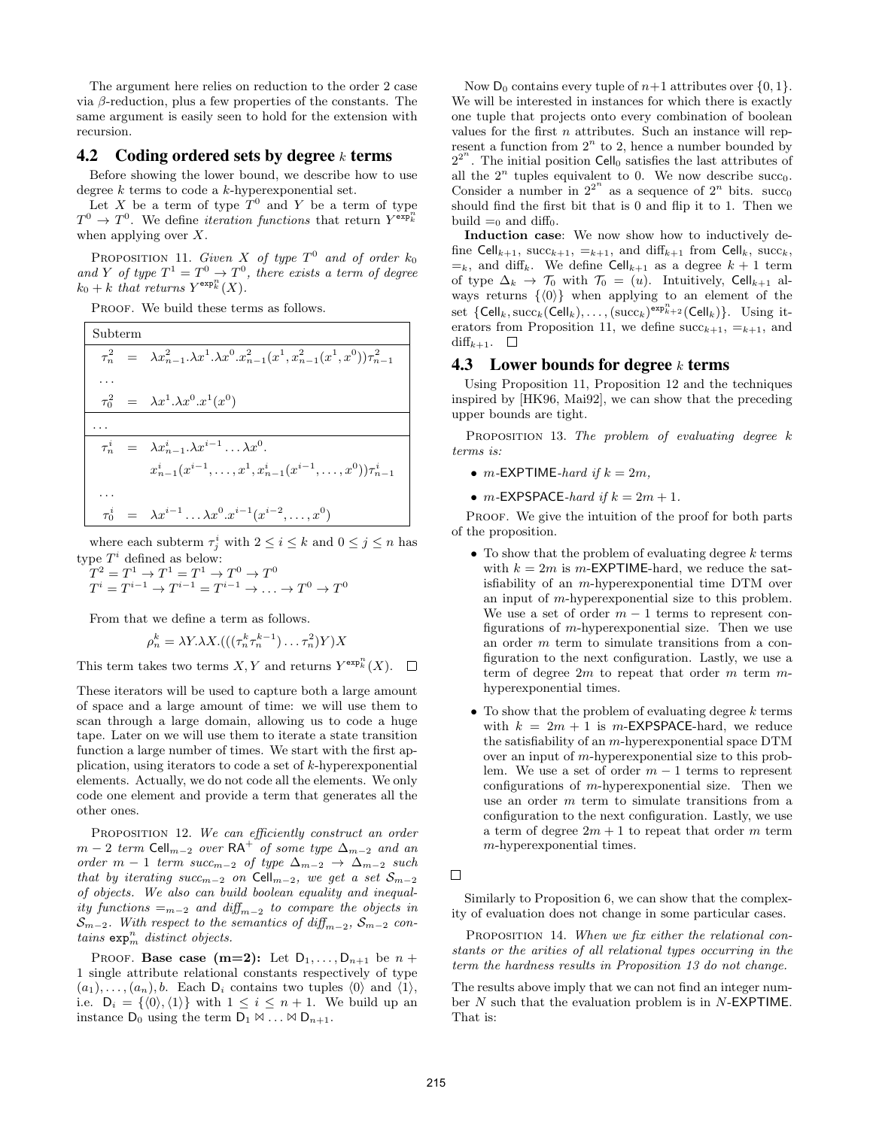The argument here relies on reduction to the order 2 case via β-reduction, plus a few properties of the constants. The same argument is easily seen to hold for the extension with recursion.

# 4.2 Coding ordered sets by degree  $k$  terms

Before showing the lower bound, we describe how to use degree  $k$  terms to code a  $k$ -hyperexponential set.

Let X be a term of type  $T^0$  and Y be a term of type  $T^0 \to T^0$ . We define *iteration functions* that return  $Y^{\exp\frac{n}{k}}$ when applying over  $X$ .

PROPOSITION 11. Given X of type  $T^0$  and of order  $k_0$ and Y of type  $T^1 = T^0 \rightarrow T^0$ , there exists a term of degree  $k_0 + k$  that returns  $Y^{\exp_k^n}(X)$ .

PROOF. We build these terms as follows.

Subterm  $\tau_n^2$  $\lambda x_{n-1}^2 \lambda x^1 \cdot \lambda x^0 \cdot x_{n-1}^2(x^1, x_{n-1}^2(x^1, x^0)) \tau_{n-1}^2$ . . .  $\tau_0^2$  $\lambda_0^2 = \lambda x^1 . \lambda x^0 . x^1 (x^0)$ . . . τ i  $\lambda_n^i = \lambda x_{n-1}^i \lambda x^{i-1} \dots \lambda x^0.$  $x_{n-1}^i(x^{i-1},\dots,x^1,x_{n-1}^i(x^{i-1},\dots,x^0))\tau_{n-1}^i$ . . .  $\tau^i_0$  $\lambda_0^{i} = \lambda x^{i-1} \dots \lambda x^0 . x^{i-1} (x^{i-2}, \dots, x^0)$ 

where each subterm  $\tau_j^i$  with  $2 \leq i \leq k$  and  $0 \leq j \leq n$  has type  $T^i$  defined as below:

$$
T^{2} = T^{1} \rightarrow T^{1} = T^{1} \rightarrow T^{0} \rightarrow T^{0}
$$
  

$$
T^{i} = T^{i-1} \rightarrow T^{i-1} = T^{i-1} \rightarrow \dots \rightarrow T^{0} \rightarrow T^{0}
$$

From that we define a term as follows.

$$
\rho_n^k = \lambda Y \cdot \lambda X \cdot (((\tau_n^k \tau_n^{k-1}) \dots \tau_n^2) Y) X
$$

This term takes two terms  $X, Y$  and returns  $Y^{\exp_k^n}(X)$ .  $\Box$ 

These iterators will be used to capture both a large amount of space and a large amount of time: we will use them to scan through a large domain, allowing us to code a huge tape. Later on we will use them to iterate a state transition function a large number of times. We start with the first application, using iterators to code a set of k-hyperexponential elements. Actually, we do not code all the elements. We only code one element and provide a term that generates all the other ones.

PROPOSITION 12. We can efficiently construct an order  $m-2$  term Cell<sub>m−2</sub> over RA<sup>+</sup> of some type  $\Delta_{m-2}$  and an order m − 1 term succ<sub>m−2</sub> of type  $\Delta_{m-2} \rightarrow \Delta_{m-2}$  such that by iterating succ<sub>m</sub>-2 on Cell<sub>m</sub>-2, we get a set  $S_{m-2}$ of objects. We also can build boolean equality and inequality functions  $=_{m-2}$  and  $diff_{m-2}$  to compare the objects in  $S_{m-2}$ . With respect to the semantics of  $\text{diff}_{m-2}$ ,  $S_{m-2}$  contains  $\exp_m^n$  distinct objects.

PROOF. Base case  $(m=2)$ : Let  $D_1, \ldots, D_{n+1}$  be  $n+1$ 1 single attribute relational constants respectively of type  $(a_1), \ldots, (a_n), b$ . Each  $D_i$  contains two tuples  $\langle 0 \rangle$  and  $\langle 1 \rangle$ , i.e.  $D_i = \{ \langle 0 \rangle, \langle 1 \rangle \}$  with  $1 \leq i \leq n + 1$ . We build up an instance  $D_0$  using the term  $D_1 \bowtie \ldots \bowtie D_{n+1}$ .

Now  $D_0$  contains every tuple of  $n+1$  attributes over  $\{0, 1\}.$ We will be interested in instances for which there is exactly one tuple that projects onto every combination of boolean values for the first  $n$  attributes. Such an instance will represent a function from  $2^n$  to 2, hence a number bounded by  $2^{2^n}$ . The initial position Cell<sub>0</sub> satisfies the last attributes of all the  $2^n$  tuples equivalent to 0. We now describe succ<sub>0</sub>. Consider a number in  $2^{2^n}$  as a sequence of  $2^n$  bits. succo should find the first bit that is 0 and flip it to 1. Then we build  $=_0$  and diff<sub>0</sub>.

Induction case: We now show how to inductively define Cell<sub>k+1</sub>, succ<sub>k+1</sub>,  $=$ <sub>k+1</sub>, and diff<sub>k+1</sub> from Cell<sub>k</sub>, succ<sub>k</sub>,  $=_k$ , and diff<sub>k</sub>. We define Cell<sub>k+1</sub> as a degree  $k + 1$  term of type  $\Delta_k \to \mathcal{T}_0$  with  $\mathcal{T}_0 = (u)$ . Intuitively, Cell<sub>k+1</sub> always returns  $\{\langle 0 \rangle\}$  when applying to an element of the set  $\{Cell_k, \text{succ}_k(\text{Cell}_k), \dots, (\text{succ}_k)^{\text{exp}_{k+2}^n}(\text{Cell}_k)\}.$  Using iterators from Proposition 11, we define  $succ_{k+1}$ ,  $=_{k+1}$ , and  $diff_{k+1}$ .  $\Box$ 

### 4.3 Lower bounds for degree  $k$  terms

Using Proposition 11, Proposition 12 and the techniques inspired by [HK96, Mai92], we can show that the preceding upper bounds are tight.

PROPOSITION 13. The problem of evaluating degree  $k$ terms is:

- m-EXPTIME-hard if  $k = 2m$ ,
- $m$ -EXPSPACE-hard if  $k = 2m + 1$ .

PROOF. We give the intuition of the proof for both parts of the proposition.

- To show that the problem of evaluating degree  $k$  terms with  $k = 2m$  is m-**EXPTIME**-hard, we reduce the satisfiability of an m-hyperexponential time DTM over an input of m-hyperexponential size to this problem. We use a set of order  $m-1$  terms to represent configurations of m-hyperexponential size. Then we use an order m term to simulate transitions from a configuration to the next configuration. Lastly, we use a term of degree  $2m$  to repeat that order m term mhyperexponential times.
- To show that the problem of evaluating degree  $k$  terms with  $k = 2m + 1$  is m-**EXPSPACE**-hard, we reduce the satisfiability of an m-hyperexponential space DTM over an input of m-hyperexponential size to this problem. We use a set of order  $m-1$  terms to represent configurations of m-hyperexponential size. Then we use an order m term to simulate transitions from a configuration to the next configuration. Lastly, we use a term of degree  $2m + 1$  to repeat that order m term m-hyperexponential times.

 $\Box$ 

Similarly to Proposition 6, we can show that the complexity of evaluation does not change in some particular cases.

PROPOSITION 14. When we fix either the relational constants or the arities of all relational types occurring in the term the hardness results in Proposition 13 do not change.

The results above imply that we can not find an integer number N such that the evaluation problem is in N-EXPTIME. That is: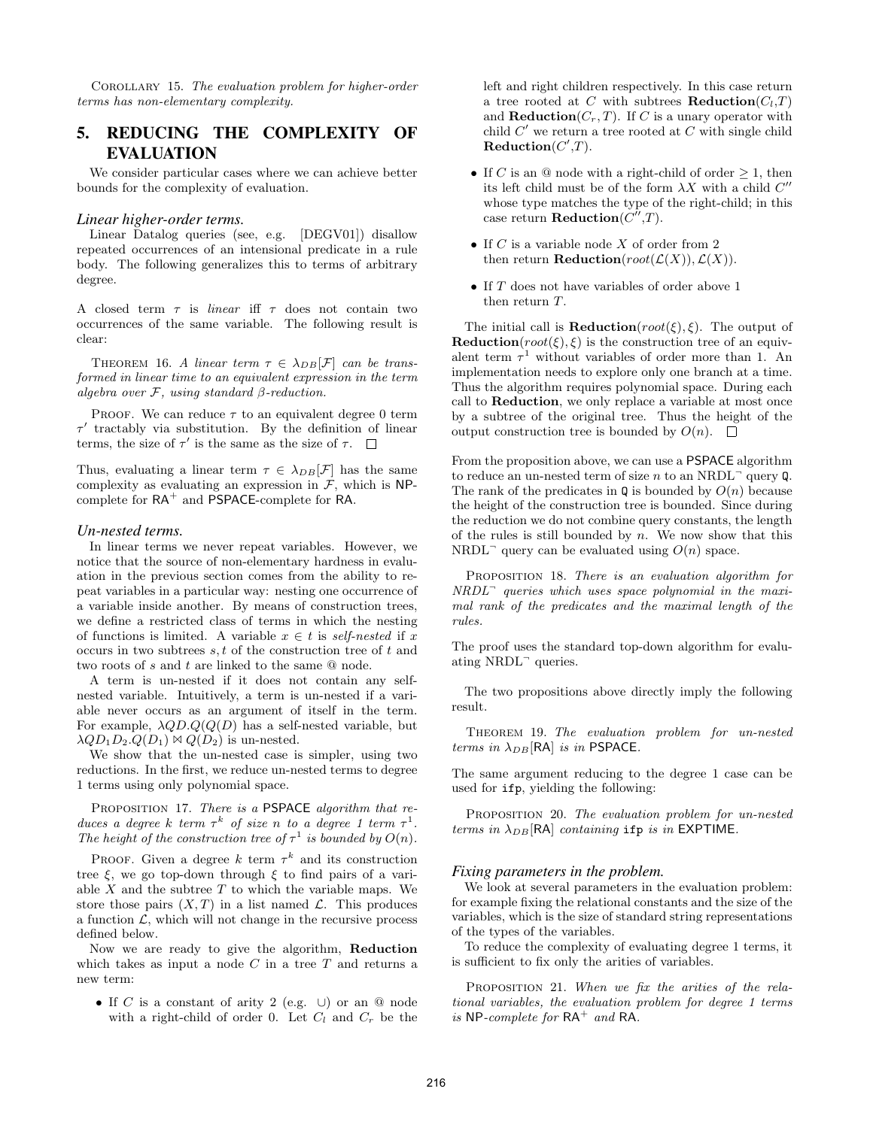Corollary 15. The evaluation problem for higher-order terms has non-elementary complexity.

# 5. REDUCING THE COMPLEXITY OF EVALUATION

We consider particular cases where we can achieve better bounds for the complexity of evaluation.

#### *Linear higher-order terms.*

Linear Datalog queries (see, e.g. [DEGV01]) disallow repeated occurrences of an intensional predicate in a rule body. The following generalizes this to terms of arbitrary degree.

A closed term  $\tau$  is *linear* iff  $\tau$  does not contain two occurrences of the same variable. The following result is clear:

THEOREM 16. A linear term  $\tau \in \lambda_{DB}[\mathcal{F}]$  can be transformed in linear time to an equivalent expression in the term algebra over  $F$ , using standard  $\beta$ -reduction.

PROOF. We can reduce  $\tau$  to an equivalent degree 0 term  $\tau'$  tractably via substitution. By the definition of linear terms, the size of  $\tau'$  is the same as the size of  $\tau$ .

Thus, evaluating a linear term  $\tau \in \lambda_{DB}[\mathcal{F}]$  has the same complexity as evaluating an expression in  $\mathcal{F}$ , which is NPcomplete for  $RA^+$  and  $PSPACE$ -complete for  $RA$ .

#### *Un-nested terms.*

In linear terms we never repeat variables. However, we notice that the source of non-elementary hardness in evaluation in the previous section comes from the ability to repeat variables in a particular way: nesting one occurrence of a variable inside another. By means of construction trees, we define a restricted class of terms in which the nesting of functions is limited. A variable  $x \in t$  is self-nested if x occurs in two subtrees  $s, t$  of the construction tree of  $t$  and two roots of s and t are linked to the same @ node.

A term is un-nested if it does not contain any selfnested variable. Intuitively, a term is un-nested if a variable never occurs as an argument of itself in the term. For example,  $\lambda QD.Q(Q(D)$  has a self-nested variable, but  $\lambda QD_1D_2.Q(D_1)\bowtie Q(D_2)$  is un-nested.

We show that the un-nested case is simpler, using two reductions. In the first, we reduce un-nested terms to degree 1 terms using only polynomial space.

PROPOSITION 17. There is a PSPACE algorithm that reduces a degree k term  $\tau^k$  of size n to a degree 1 term  $\tau^1$ . The height of the construction tree of  $\tau^1$  is bounded by  $O(n)$ .

PROOF. Given a degree k term  $\tau^k$  and its construction tree  $\xi$ , we go top-down through  $\xi$  to find pairs of a variable  $X$  and the subtree  $T$  to which the variable maps. We store those pairs  $(X, T)$  in a list named  $\mathcal L$ . This produces a function  $\mathcal{L}$ , which will not change in the recursive process defined below.

Now we are ready to give the algorithm, Reduction which takes as input a node  $C$  in a tree  $T$  and returns a new term:

• If C is a constant of arity 2 (e.g.  $\cup$ ) or an @ node with a right-child of order 0. Let  $C_l$  and  $C_r$  be the left and right children respectively. In this case return a tree rooted at C with subtrees **Reduction** $(C_l, T)$ and **Reduction** $(C_r, T)$ . If C is a unary operator with child  $C'$  we return a tree rooted at  $C$  with single child  $\textbf{Reduction}(C',T)$ .

- If C is an  $\circledcirc$  node with a right-child of order  $\geq 1$ , then its left child must be of the form  $\lambda X$  with a child  $C''$ whose type matches the type of the right-child; in this case return **Reduction** $(C'',T)$ .
- If  $C$  is a variable node  $X$  of order from 2 then return **Reduction**( $root(\mathcal{L}(X)), \mathcal{L}(X)$ ).
- If T does not have variables of order above 1 then return T.

The initial call is **Reduction**( $root(\xi)$ ,  $\xi$ ). The output of **Reduction**( $root(\xi)$ ,  $\xi$ ) is the construction tree of an equivalent term  $\tau^1$  without variables of order more than 1. An implementation needs to explore only one branch at a time. Thus the algorithm requires polynomial space. During each call to Reduction, we only replace a variable at most once by a subtree of the original tree. Thus the height of the output construction tree is bounded by  $O(n)$ .  $\square$ 

From the proposition above, we can use a PSPACE algorithm to reduce an un-nested term of size  $n$  to an NRDL<sup> $-$ </sup> query Q. The rank of the predicates in  $\mathbf Q$  is bounded by  $O(n)$  because the height of the construction tree is bounded. Since during the reduction we do not combine query constants, the length of the rules is still bounded by  $n$ . We now show that this NRDL<sup> $\bar{\phantom{a}}$ </sup> query can be evaluated using  $O(n)$  space.

PROPOSITION 18. There is an evaluation algorithm for NRDL<sup>¬</sup> queries which uses space polynomial in the maximal rank of the predicates and the maximal length of the rules.

The proof uses the standard top-down algorithm for evaluating NRDL<sup>-</sup> queries.

The two propositions above directly imply the following result.

Theorem 19. The evaluation problem for un-nested terms in  $\lambda_{DB}$ [RA] is in PSPACE.

The same argument reducing to the degree 1 case can be used for ifp, yielding the following:

PROPOSITION 20. The evaluation problem for un-nested terms in  $\lambda_{DB}$ [RA] containing ifp is in EXPTIME.

#### *Fixing parameters in the problem.*

We look at several parameters in the evaluation problem: for example fixing the relational constants and the size of the variables, which is the size of standard string representations of the types of the variables.

To reduce the complexity of evaluating degree 1 terms, it is sufficient to fix only the arities of variables.

PROPOSITION 21. When we fix the arities of the relational variables, the evaluation problem for degree 1 terms is NP-complete for  $RA^+$  and RA.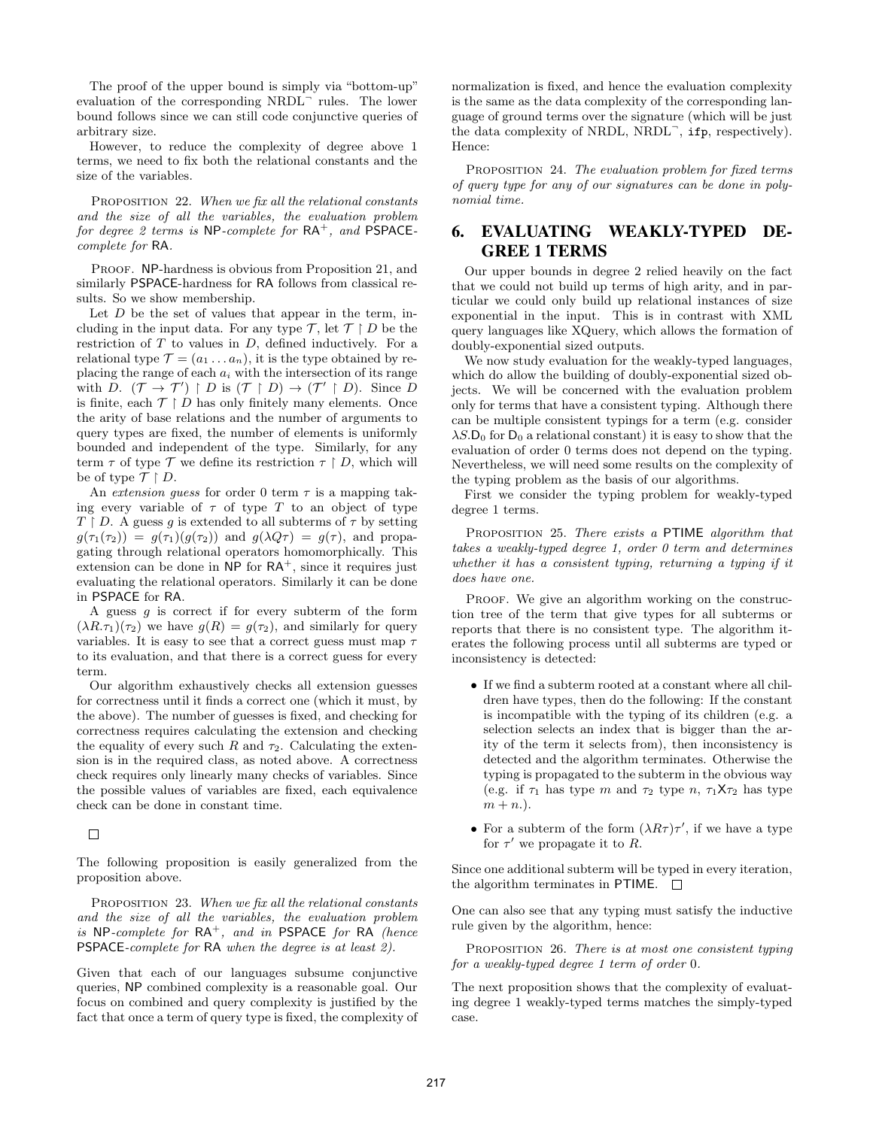The proof of the upper bound is simply via "bottom-up" evaluation of the corresponding NRDL<sup>-</sup> rules. The lower bound follows since we can still code conjunctive queries of arbitrary size.

However, to reduce the complexity of degree above 1 terms, we need to fix both the relational constants and the size of the variables.

PROPOSITION 22. When we fix all the relational constants and the size of all the variables, the evaluation problem for degree 2 terms is NP-complete for  $RA^+$ , and  $PSPACE$ complete for RA.

PROOF. NP-hardness is obvious from Proposition 21, and similarly PSPACE-hardness for RA follows from classical results. So we show membership.

Let  $D$  be the set of values that appear in the term, including in the input data. For any type  $\mathcal{T}$ , let  $\mathcal{T} \restriction D$  be the restriction of  $T$  to values in  $D$ , defined inductively. For a relational type  $\mathcal{T} = (a_1 \dots a_n)$ , it is the type obtained by replacing the range of each  $a_i$  with the intersection of its range with D.  $(\mathcal{T} \rightarrow \mathcal{T}') \upharpoonright D$  is  $(\mathcal{T} \upharpoonright D) \rightarrow (\mathcal{T}' \upharpoonright D)$ . Since D is finite, each  $\mathcal{T} \restriction D$  has only finitely many elements. Once the arity of base relations and the number of arguments to query types are fixed, the number of elements is uniformly bounded and independent of the type. Similarly, for any term  $\tau$  of type  $\mathcal T$  we define its restriction  $\tau \restriction D$ , which will be of type  $\mathcal{T} \restriction D$ .

An extension quess for order 0 term  $\tau$  is a mapping taking every variable of  $\tau$  of type T to an object of type  $T \upharpoonright D$ . A guess q is extended to all subterms of  $\tau$  by setting  $g(\tau_1(\tau_2)) = g(\tau_1)(g(\tau_2))$  and  $g(\lambda Q\tau) = g(\tau)$ , and propagating through relational operators homomorphically. This extension can be done in  $NP$  for  $RA^+$ , since it requires just evaluating the relational operators. Similarly it can be done in PSPACE for RA.

A guess  $g$  is correct if for every subterm of the form  $(\lambda R.\tau_1)(\tau_2)$  we have  $g(R) = g(\tau_2)$ , and similarly for query variables. It is easy to see that a correct guess must map  $\tau$ to its evaluation, and that there is a correct guess for every term.

Our algorithm exhaustively checks all extension guesses for correctness until it finds a correct one (which it must, by the above). The number of guesses is fixed, and checking for correctness requires calculating the extension and checking the equality of every such R and  $\tau_2$ . Calculating the extension is in the required class, as noted above. A correctness check requires only linearly many checks of variables. Since the possible values of variables are fixed, each equivalence check can be done in constant time.

 $\Box$ 

The following proposition is easily generalized from the proposition above.

PROPOSITION 23. When we fix all the relational constants and the size of all the variables, the evaluation problem is NP-complete for  $RA^+$ , and in PSPACE for RA (hence PSPACE-complete for RA when the degree is at least 2).

Given that each of our languages subsume conjunctive queries, NP combined complexity is a reasonable goal. Our focus on combined and query complexity is justified by the fact that once a term of query type is fixed, the complexity of normalization is fixed, and hence the evaluation complexity is the same as the data complexity of the corresponding language of ground terms over the signature (which will be just the data complexity of NRDL, NRDL<sup>-</sup>, ifp, respectively). Hence:

PROPOSITION 24. The evaluation problem for fixed terms of query type for any of our signatures can be done in polynomial time.

# 6. EVALUATING WEAKLY-TYPED DE-GREE 1 TERMS

Our upper bounds in degree 2 relied heavily on the fact that we could not build up terms of high arity, and in particular we could only build up relational instances of size exponential in the input. This is in contrast with XML query languages like XQuery, which allows the formation of doubly-exponential sized outputs.

We now study evaluation for the weakly-typed languages, which do allow the building of doubly-exponential sized objects. We will be concerned with the evaluation problem only for terms that have a consistent typing. Although there can be multiple consistent typings for a term (e.g. consider  $\lambda S$ .D<sub>0</sub> for D<sub>0</sub> a relational constant) it is easy to show that the evaluation of order 0 terms does not depend on the typing. Nevertheless, we will need some results on the complexity of the typing problem as the basis of our algorithms.

First we consider the typing problem for weakly-typed degree 1 terms.

PROPOSITION 25. There exists a PTIME algorithm that takes a weakly-typed degree 1, order 0 term and determines whether it has a consistent typing, returning a typing if it does have one.

PROOF. We give an algorithm working on the construction tree of the term that give types for all subterms or reports that there is no consistent type. The algorithm iterates the following process until all subterms are typed or inconsistency is detected:

- If we find a subterm rooted at a constant where all children have types, then do the following: If the constant is incompatible with the typing of its children (e.g. a selection selects an index that is bigger than the arity of the term it selects from), then inconsistency is detected and the algorithm terminates. Otherwise the typing is propagated to the subterm in the obvious way (e.g. if  $\tau_1$  has type m and  $\tau_2$  type n,  $\tau_1 \chi_{\tau_2}$  has type  $m + n.$ ).
- For a subterm of the form  $(\lambda R\tau)\tau'$ , if we have a type for  $\tau'$  we propagate it to R.

Since one additional subterm will be typed in every iteration, the algorithm terminates in PTIME.  $\Box$ 

One can also see that any typing must satisfy the inductive rule given by the algorithm, hence:

PROPOSITION 26. There is at most one consistent typing for a weakly-typed degree 1 term of order 0.

The next proposition shows that the complexity of evaluating degree 1 weakly-typed terms matches the simply-typed case.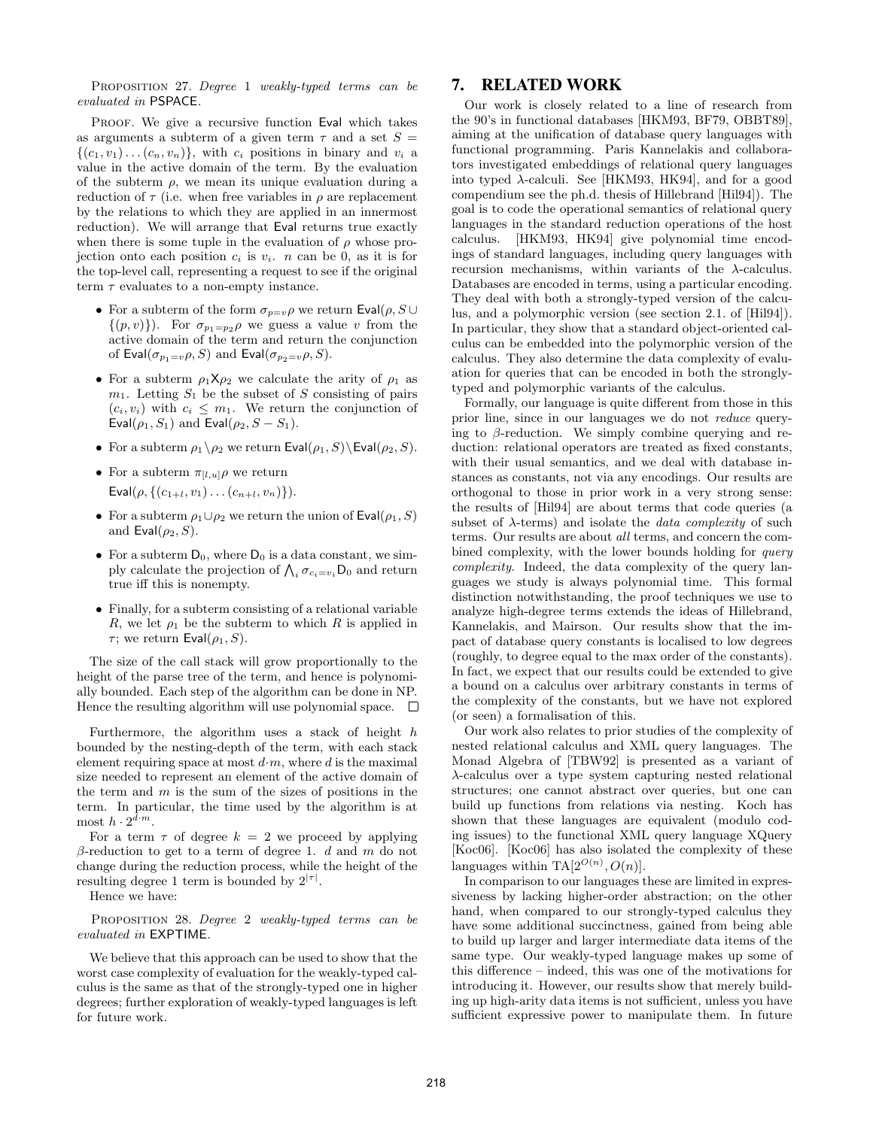PROPOSITION 27. Degree 1 weakly-typed terms can be evaluated in PSPACE.

PROOF. We give a recursive function Eval which takes as arguments a subterm of a given term  $\tau$  and a set  $S =$  $\{(c_1, v_1) \dots (c_n, v_n)\}\$ , with  $c_i$  positions in binary and  $v_i$  a value in the active domain of the term. By the evaluation of the subterm  $\rho$ , we mean its unique evaluation during a reduction of  $\tau$  (i.e. when free variables in  $\rho$  are replacement by the relations to which they are applied in an innermost reduction). We will arrange that Eval returns true exactly when there is some tuple in the evaluation of  $\rho$  whose projection onto each position  $c_i$  is  $v_i$ . *n* can be 0, as it is for the top-level call, representing a request to see if the original term  $\tau$  evaluates to a non-empty instance.

- For a subterm of the form  $\sigma_{p=v}\rho$  we return Eval $(\rho, S \cup$  $\{(p, v)\}\)$ . For  $\sigma_{p_1=p_2}\rho$  we guess a value v from the active domain of the term and return the conjunction of  $\textsf{Eval}(\sigma_{p_1=v}\rho, S)$  and  $\textsf{Eval}(\sigma_{p_2=v}\rho, S)$ .
- For a subterm  $\rho_1 \mathsf{X} \rho_2$  we calculate the arity of  $\rho_1$  as  $m_1$ . Letting  $S_1$  be the subset of S consisting of pairs  $(c_i, v_i)$  with  $c_i \leq m_1$ . We return the conjunction of Eval $(\rho_1, S_1)$  and Eval $(\rho_2, S - S_1)$ .
- For a subterm  $\rho_1 \backslash \rho_2$  we return  $\textsf{Eval}(\rho_1, S) \backslash \textsf{Eval}(\rho_2, S)$ .
- For a subterm  $\pi_{[l,u]}\rho$  we return Eval $(\rho, \{(c_{1+l}, v_1) \dots (c_{n+l}, v_n)\})$ .
- For a subterm  $\rho_1 \cup \rho_2$  we return the union of Eval $(\rho_1, S)$ and  $\textsf{Eval}(\rho_2, S)$ .
- For a subterm  $D_0$ , where  $D_0$  is a data constant, we simply calculate the projection of  $\bigwedge_i \sigma_{c_i=v_i}$  D<sub>0</sub> and return true iff this is nonempty.
- Finally, for a subterm consisting of a relational variable R, we let  $\rho_1$  be the subterm to which R is applied in τ; we return  $Eval(ρ_1, S)$ .

The size of the call stack will grow proportionally to the height of the parse tree of the term, and hence is polynomially bounded. Each step of the algorithm can be done in NP. Hence the resulting algorithm will use polynomial space.  $\Box$ 

Furthermore, the algorithm uses a stack of height  $h$ bounded by the nesting-depth of the term, with each stack element requiring space at most  $d \cdot m$ , where d is the maximal size needed to represent an element of the active domain of the term and  $m$  is the sum of the sizes of positions in the term. In particular, the time used by the algorithm is at most  $h \cdot 2^{\tilde{d} \cdot m}$ .

For a term  $\tau$  of degree  $k = 2$  we proceed by applying  $β$ -reduction to get to a term of degree 1. d and m do not change during the reduction process, while the height of the resulting degree 1 term is bounded by  $2^{|\tau|}$ .

Hence we have:

PROPOSITION 28. Degree 2 weakly-typed terms can be evaluated in EXPTIME.

We believe that this approach can be used to show that the worst case complexity of evaluation for the weakly-typed calculus is the same as that of the strongly-typed one in higher degrees; further exploration of weakly-typed languages is left for future work.

# 7. RELATED WORK

Our work is closely related to a line of research from the 90's in functional databases [HKM93, BF79, OBBT89], aiming at the unification of database query languages with functional programming. Paris Kannelakis and collaborators investigated embeddings of relational query languages into typed  $\lambda$ -calculi. See [HKM93, HK94], and for a good compendium see the ph.d. thesis of Hillebrand [Hil94]). The goal is to code the operational semantics of relational query languages in the standard reduction operations of the host calculus. [HKM93, HK94] give polynomial time encodings of standard languages, including query languages with recursion mechanisms, within variants of the  $\lambda$ -calculus. Databases are encoded in terms, using a particular encoding. They deal with both a strongly-typed version of the calculus, and a polymorphic version (see section 2.1. of [Hil94]). In particular, they show that a standard object-oriented calculus can be embedded into the polymorphic version of the calculus. They also determine the data complexity of evaluation for queries that can be encoded in both the stronglytyped and polymorphic variants of the calculus.

Formally, our language is quite different from those in this prior line, since in our languages we do not reduce querying to  $\beta$ -reduction. We simply combine querying and reduction: relational operators are treated as fixed constants, with their usual semantics, and we deal with database instances as constants, not via any encodings. Our results are orthogonal to those in prior work in a very strong sense: the results of [Hil94] are about terms that code queries (a subset of  $\lambda$ -terms) and isolate the *data complexity* of such terms. Our results are about all terms, and concern the combined complexity, with the lower bounds holding for *query* complexity. Indeed, the data complexity of the query languages we study is always polynomial time. This formal distinction notwithstanding, the proof techniques we use to analyze high-degree terms extends the ideas of Hillebrand, Kannelakis, and Mairson. Our results show that the impact of database query constants is localised to low degrees (roughly, to degree equal to the max order of the constants). In fact, we expect that our results could be extended to give a bound on a calculus over arbitrary constants in terms of the complexity of the constants, but we have not explored (or seen) a formalisation of this.

Our work also relates to prior studies of the complexity of nested relational calculus and XML query languages. The Monad Algebra of [TBW92] is presented as a variant of λ-calculus over a type system capturing nested relational structures; one cannot abstract over queries, but one can build up functions from relations via nesting. Koch has shown that these languages are equivalent (modulo coding issues) to the functional XML query language XQuery [Koc06]. [Koc06] has also isolated the complexity of these languages within TA $[2^{O(n)}, O(n)]$ .

In comparison to our languages these are limited in expressiveness by lacking higher-order abstraction; on the other hand, when compared to our strongly-typed calculus they have some additional succinctness, gained from being able to build up larger and larger intermediate data items of the same type. Our weakly-typed language makes up some of this difference – indeed, this was one of the motivations for introducing it. However, our results show that merely building up high-arity data items is not sufficient, unless you have sufficient expressive power to manipulate them. In future